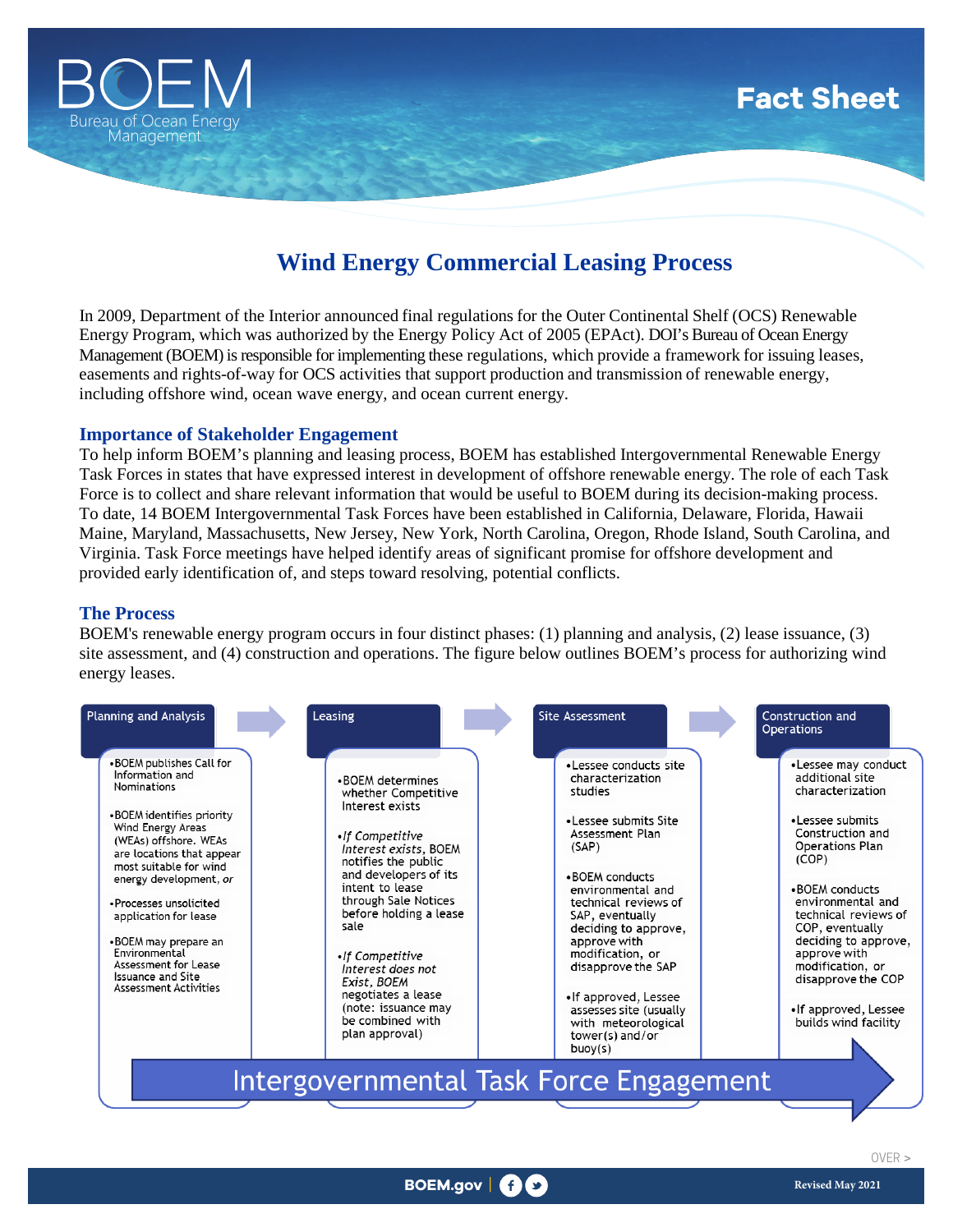

# **Fact Sheet**

# **Wind Energy Commercial Leasing Process**

In 2009, Department of the Interior announced final regulations for the Outer Continental Shelf (OCS) Renewable Energy Program, which was authorized by the Energy Policy Act of 2005 (EPAct). DOI's Bureau of Ocean Energy Management (BOEM) is responsible for implementing these regulations, which provide a framework for issuing leases, easements and rights-of-way for OCS activities that support production and transmission of renewable energy, including offshore wind, ocean wave energy, and ocean current energy.

#### **Importance of Stakeholder Engagement**

To help inform BOEM's planning and leasing process, BOEM has established Intergovernmental Renewable Energy Task Forces in states that have expressed interest in development of offshore renewable energy. The role of each Task Force is to collect and share relevant information that would be useful to BOEM during its decision-making process. To date, 14 BOEM Intergovernmental Task Forces have been established in California, Delaware, Florida, Hawaii Maine, Maryland, Massachusetts, New Jersey, New York, North Carolina, Oregon, Rhode Island, South Carolina, and Virginia. Task Force meetings have helped identify areas of significant promise for offshore development and provided early identification of, and steps toward resolving, potential conflicts.

#### **The Process**

BOEM's renewable energy program occurs in four distinct phases: (1) planning and analysis, (2) lease issuance, (3) site assessment, and (4) construction and operations. The figure below outlines BOEM's process for authorizing wind energy leases.

| <b>Planning and Analysis</b>                                                                                                                                                                                                                                                                                                                                                                      | Leasing                                                                                                                                                                                                                                                                                                                                                                        | Site Assessment                                                                                                                                                                                                                                                                                                                                                                        | Construction and<br><b>Operations</b>                                                                                                                                                                                                                                                                                                                      |
|---------------------------------------------------------------------------------------------------------------------------------------------------------------------------------------------------------------------------------------------------------------------------------------------------------------------------------------------------------------------------------------------------|--------------------------------------------------------------------------------------------------------------------------------------------------------------------------------------------------------------------------------------------------------------------------------------------------------------------------------------------------------------------------------|----------------------------------------------------------------------------------------------------------------------------------------------------------------------------------------------------------------------------------------------------------------------------------------------------------------------------------------------------------------------------------------|------------------------------------------------------------------------------------------------------------------------------------------------------------------------------------------------------------------------------------------------------------------------------------------------------------------------------------------------------------|
| • BOEM publishes Call for<br>Information and<br><b>Nominations</b><br>•BOEM identifies priority<br>Wind Energy Areas<br>(WEAs) offshore. WEAs<br>are locations that appear<br>most suitable for wind<br>energy development, or<br>· Processes unsolicited<br>application for lease<br>•BOEM may prepare an<br>Environmental<br>Assessment for Lease<br>Issuance and Site<br>Assessment Activities | • BOEM determines<br>whether Competitive<br>Interest exists<br>•If Competitive<br>Interest exists, BOEM<br>notifies the public<br>and developers of its<br>intent to lease<br>through Sale Notices<br>before holding a lease<br>sale<br>•If Competitive<br>Interest does not<br>Exist, BOEM<br>negotiates a lease<br>(note: issuance may<br>be combined with<br>plan approval) | • Lessee conducts site<br>characterization<br>studies<br>• Lessee submits Site<br>Assessment Plan<br>(SAP)<br>•BOEM conducts<br>environmental and<br>technical reviews of<br>SAP, eventually<br>deciding to approve,<br>approve with<br>modification, or<br>disapprove the SAP<br>• If approved, Lessee<br>assesses site (usually<br>with meteorological<br>tower(s) and/or<br>buoy(s) | • Lessee may conduct<br>additional site<br>characterization<br>·Lessee submits<br>Construction and<br><b>Operations Plan</b><br>(COP)<br>•BOEM conducts<br>environmental and<br>technical reviews of<br>COP, eventually<br>deciding to approve,<br>approve with<br>modification, or<br>disapprove the COP<br>• If approved, Lessee<br>builds wind facility |
| Intergovernmental Task Force Engagement                                                                                                                                                                                                                                                                                                                                                           |                                                                                                                                                                                                                                                                                                                                                                                |                                                                                                                                                                                                                                                                                                                                                                                        |                                                                                                                                                                                                                                                                                                                                                            |
|                                                                                                                                                                                                                                                                                                                                                                                                   |                                                                                                                                                                                                                                                                                                                                                                                |                                                                                                                                                                                                                                                                                                                                                                                        |                                                                                                                                                                                                                                                                                                                                                            |